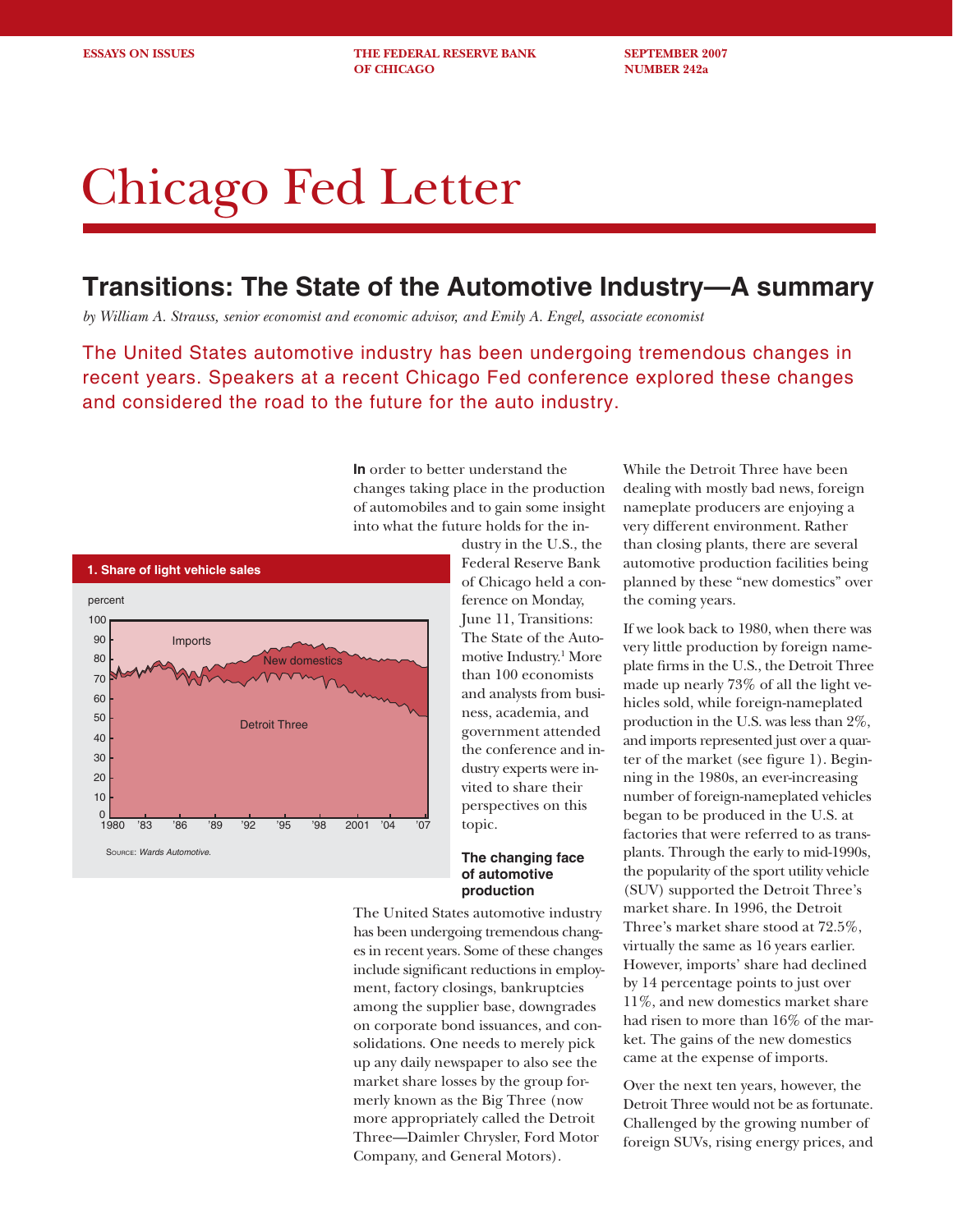**ESSAYS ON ISSUES** THE FEDERAL RESERVE BANK SEPTEMBER 2007 **OF CHICAGO NUMBER 242a** 

# Chicago Fed Letter

## **Transitions: The State of the Automotive Industry—A summary**

*by William A. Strauss, senior economist and economic advisor, and Emily A. Engel, associate economist*

The United States automotive industry has been undergoing tremendous changes in recent years. Speakers at a recent Chicago Fed conference explored these changes and considered the road to the future for the auto industry.

> **In** order to better understand the changes taking place in the production of automobiles and to gain some insight into what the future holds for the in-



dustry in the U.S., the Federal Reserve Bank of Chicago held a conference on Monday, June 11, Transitions: The State of the Automotive Industry.1 More than 100 economists and analysts from business, academia, and government attended the conference and industry experts were invited to share their perspectives on this topic.

#### **The changing face of automotive production**

The United States automotive industry has been undergoing tremendous changes in recent years. Some of these changes include significant reductions in employment, factory closings, bankruptcies among the supplier base, downgrades on corporate bond issuances, and consolidations. One needs to merely pick up any daily newspaper to also see the market share losses by the group formerly known as the Big Three (now more appropriately called the Detroit Three—Daimler Chrysler, Ford Motor Company, and General Motors).

While the Detroit Three have been dealing with mostly bad news, foreign nameplate producers are enjoying a very different environment. Rather than closing plants, there are several automotive production facilities being planned by these "new domestics" over the coming years.

If we look back to 1980, when there was very little production by foreign nameplate firms in the U.S., the Detroit Three made up nearly 73% of all the light vehicles sold, while foreign-nameplated production in the U.S. was less than 2%, and imports represented just over a quarter of the market (see figure 1). Beginning in the 1980s, an ever-increasing number of foreign-nameplated vehicles began to be produced in the U.S. at factories that were referred to as transplants. Through the early to mid-1990s, the popularity of the sport utility vehicle (SUV) supported the Detroit Three's market share. In 1996, the Detroit Three's market share stood at 72.5%, virtually the same as 16 years earlier. However, imports' share had declined by 14 percentage points to just over 11%, and new domestics market share had risen to more than 16% of the market. The gains of the new domestics came at the expense of imports.

Over the next ten years, however, the Detroit Three would not be as fortunate. Challenged by the growing number of foreign SUVs, rising energy prices, and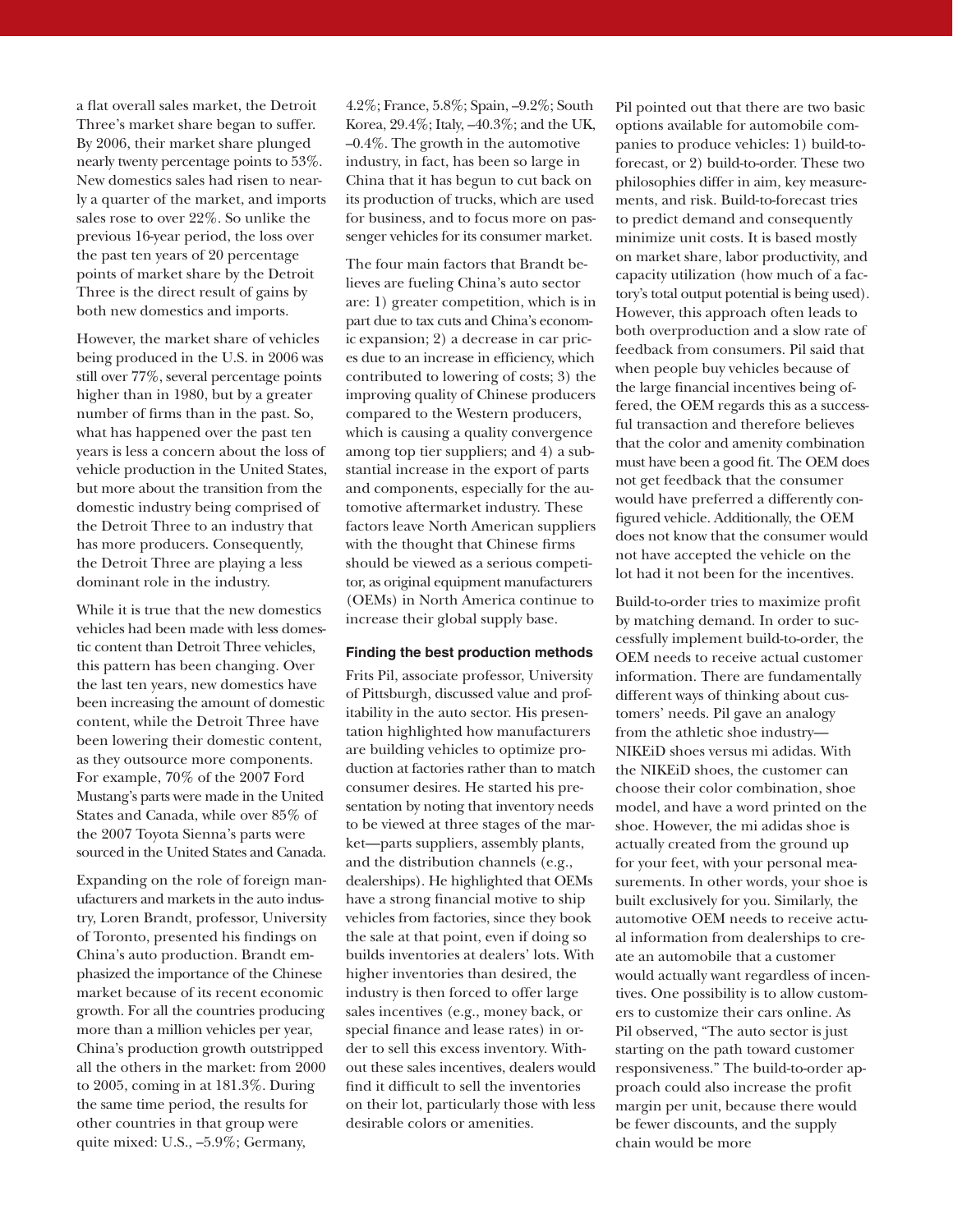a flat overall sales market, the Detroit Three's market share began to suffer. By 2006, their market share plunged nearly twenty percentage points to 53%. New domestics sales had risen to nearly a quarter of the market, and imports sales rose to over 22%. So unlike the previous 16-year period, the loss over the past ten years of 20 percentage points of market share by the Detroit Three is the direct result of gains by both new domestics and imports.

However, the market share of vehicles being produced in the U.S. in 2006 was still over 77%, several percentage points higher than in 1980, but by a greater number of firms than in the past. So, what has happened over the past ten years is less a concern about the loss of vehicle production in the United States, but more about the transition from the domestic industry being comprised of the Detroit Three to an industry that has more producers. Consequently, the Detroit Three are playing a less dominant role in the industry.

While it is true that the new domestics vehicles had been made with less domestic content than Detroit Three vehicles, this pattern has been changing. Over the last ten years, new domestics have been increasing the amount of domestic content, while the Detroit Three have been lowering their domestic content, as they outsource more components. For example, 70% of the 2007 Ford Mustang's parts were made in the United States and Canada, while over 85% of the 2007 Toyota Sienna's parts were sourced in the United States and Canada.

Expanding on the role of foreign manufacturers and markets in the auto industry, Loren Brandt, professor, University of Toronto, presented his findings on China's auto production. Brandt emphasized the importance of the Chinese market because of its recent economic growth. For all the countries producing more than a million vehicles per year, China's production growth outstripped all the others in the market: from 2000 to 2005, coming in at 181.3%. During the same time period, the results for other countries in that group were quite mixed: U.S., –5.9%; Germany,

4.2%; France, 5.8%; Spain, –9.2%; South Korea, 29.4%; Italy, –40.3%; and the UK, –0.4%. The growth in the automotive industry, in fact, has been so large in China that it has begun to cut back on its production of trucks, which are used for business, and to focus more on passenger vehicles for its consumer market.

The four main factors that Brandt believes are fueling China's auto sector are: 1) greater competition, which is in part due to tax cuts and China's economic expansion; 2) a decrease in car prices due to an increase in efficiency, which contributed to lowering of costs; 3) the improving quality of Chinese producers compared to the Western producers, which is causing a quality convergence among top tier suppliers; and 4) a substantial increase in the export of parts and components, especially for the automotive aftermarket industry. These factors leave North American suppliers with the thought that Chinese firms should be viewed as a serious competitor, as original equipment manufacturers (OEMs) in North America continue to increase their global supply base.

#### **Finding the best production methods**

Frits Pil, associate professor, University of Pittsburgh, discussed value and profitability in the auto sector. His presentation highlighted how manufacturers are building vehicles to optimize production at factories rather than to match consumer desires. He started his presentation by noting that inventory needs to be viewed at three stages of the market—parts suppliers, assembly plants, and the distribution channels (e.g., dealerships). He highlighted that OEMs have a strong financial motive to ship vehicles from factories, since they book the sale at that point, even if doing so builds inventories at dealers' lots. With higher inventories than desired, the industry is then forced to offer large sales incentives (e.g., money back, or special finance and lease rates) in order to sell this excess inventory. Without these sales incentives, dealers would find it difficult to sell the inventories on their lot, particularly those with less desirable colors or amenities.

Pil pointed out that there are two basic options available for automobile companies to produce vehicles: 1) build-toforecast, or 2) build-to-order. These two philosophies differ in aim, key measurements, and risk. Build-to-forecast tries to predict demand and consequently minimize unit costs. It is based mostly on market share, labor productivity, and capacity utilization (how much of a factory's total output potential is being used). However, this approach often leads to both overproduction and a slow rate of feedback from consumers. Pil said that when people buy vehicles because of the large financial incentives being offered, the OEM regards this as a successful transaction and therefore believes that the color and amenity combination must have been a good fit. The OEM does not get feedback that the consumer would have preferred a differently configured vehicle. Additionally, the OEM does not know that the consumer would not have accepted the vehicle on the lot had it not been for the incentives.

Build-to-order tries to maximize profit by matching demand. In order to successfully implement build-to-order, the OEM needs to receive actual customer information. There are fundamentally different ways of thinking about customers' needs. Pil gave an analogy from the athletic shoe industry— NIKEiD shoes versus mi adidas. With the NIKEiD shoes, the customer can choose their color combination, shoe model, and have a word printed on the shoe. However, the mi adidas shoe is actually created from the ground up for your feet, with your personal measurements. In other words, your shoe is built exclusively for you. Similarly, the automotive OEM needs to receive actual information from dealerships to create an automobile that a customer would actually want regardless of incentives. One possibility is to allow customers to customize their cars online. As Pil observed, "The auto sector is just starting on the path toward customer responsiveness." The build-to-order approach could also increase the profit margin per unit, because there would be fewer discounts, and the supply chain would be more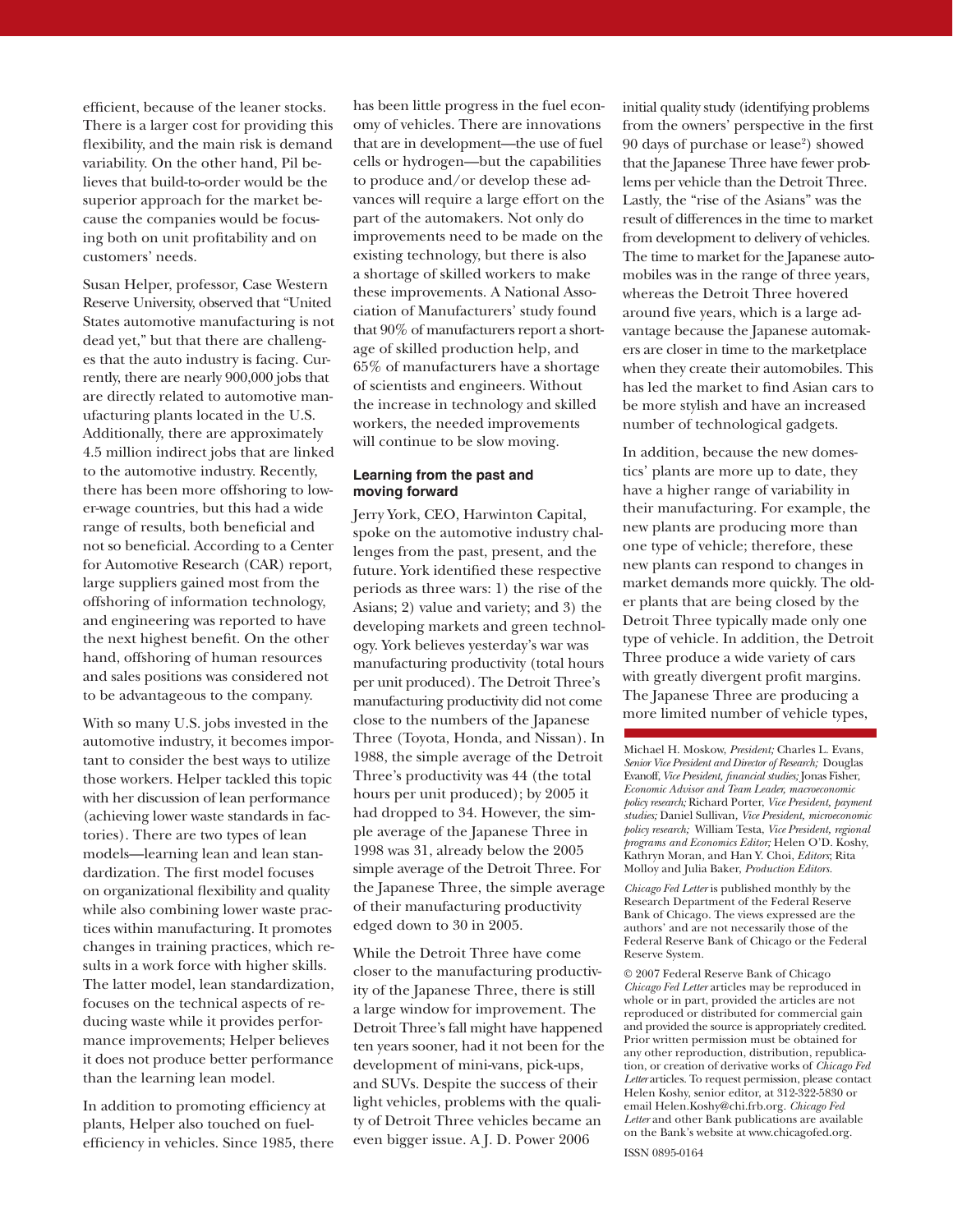efficient, because of the leaner stocks. There is a larger cost for providing this flexibility, and the main risk is demand variability. On the other hand, Pil believes that build-to-order would be the superior approach for the market because the companies would be focusing both on unit profitability and on customers' needs.

Susan Helper, professor, Case Western Reserve University, observed that "United States automotive manufacturing is not dead yet," but that there are challenges that the auto industry is facing. Currently, there are nearly 900,000 jobs that are directly related to automotive manufacturing plants located in the U.S. Additionally, there are approximately 4.5 million indirect jobs that are linked to the automotive industry. Recently, there has been more offshoring to lower-wage countries, but this had a wide range of results, both beneficial and not so beneficial. According to a Center for Automotive Research (CAR) report, large suppliers gained most from the offshoring of information technology, and engineering was reported to have the next highest benefit. On the other hand, offshoring of human resources and sales positions was considered not to be advantageous to the company.

With so many U.S. jobs invested in the automotive industry, it becomes important to consider the best ways to utilize those workers. Helper tackled this topic with her discussion of lean performance (achieving lower waste standards in factories). There are two types of lean models—learning lean and lean standardization. The first model focuses on organizational flexibility and quality while also combining lower waste practices within manufacturing. It promotes changes in training practices, which results in a work force with higher skills. The latter model, lean standardization, focuses on the technical aspects of reducing waste while it provides performance improvements; Helper believes it does not produce better performance than the learning lean model.

In addition to promoting efficiency at plants, Helper also touched on fuelefficiency in vehicles. Since 1985, there has been little progress in the fuel economy of vehicles. There are innovations that are in development—the use of fuel cells or hydrogen—but the capabilities to produce and/or develop these advances will require a large effort on the part of the automakers. Not only do improvements need to be made on the existing technology, but there is also a shortage of skilled workers to make these improvements. A National Association of Manufacturers' study found that 90% of manufacturers report a shortage of skilled production help, and 65% of manufacturers have a shortage of scientists and engineers. Without the increase in technology and skilled workers, the needed improvements will continue to be slow moving.

### **Learning from the past and moving forward**

Jerry York, CEO, Harwinton Capital, spoke on the automotive industry challenges from the past, present, and the future. York identified these respective periods as three wars: 1) the rise of the Asians; 2) value and variety; and 3) the developing markets and green technology. York believes yesterday's war was manufacturing productivity (total hours per unit produced). The Detroit Three's manufacturing productivity did not come close to the numbers of the Japanese Three (Toyota, Honda, and Nissan). In 1988, the simple average of the Detroit Three's productivity was 44 (the total hours per unit produced); by 2005 it had dropped to 34. However, the simple average of the Japanese Three in 1998 was 31, already below the 2005 simple average of the Detroit Three. For the Japanese Three, the simple average of their manufacturing productivity edged down to 30 in 2005.

While the Detroit Three have come closer to the manufacturing productivity of the Japanese Three, there is still a large window for improvement. The Detroit Three's fall might have happened ten years sooner, had it not been for the development of mini-vans, pick-ups, and SUVs. Despite the success of their light vehicles, problems with the quality of Detroit Three vehicles became an even bigger issue. A J. D. Power 2006

initial quality study (identifying problems from the owners' perspective in the first 90 days of purchase or lease<sup>2</sup>) showed that the Japanese Three have fewer problems per vehicle than the Detroit Three. Lastly, the "rise of the Asians" was the result of differences in the time to market from development to delivery of vehicles. The time to market for the Japanese automobiles was in the range of three years, whereas the Detroit Three hovered around five years, which is a large advantage because the Japanese automakers are closer in time to the marketplace when they create their automobiles. This has led the market to find Asian cars to be more stylish and have an increased number of technological gadgets.

In addition, because the new domestics' plants are more up to date, they have a higher range of variability in their manufacturing. For example, the new plants are producing more than one type of vehicle; therefore, these new plants can respond to changes in market demands more quickly. The older plants that are being closed by the Detroit Three typically made only one type of vehicle. In addition, the Detroit Three produce a wide variety of cars with greatly divergent profit margins. The Japanese Three are producing a more limited number of vehicle types,

Michael H. Moskow, *President;* Charles L. Evans, *Senior Vice President and Director of Research;* Douglas Evanoff, *Vice President, financial studies;* Jonas Fisher, *Economic Advisor and Team Leader, macroeconomic policy research;* Richard Porter, *Vice President, payment studies;* Daniel Sullivan*, Vice President, microeconomic policy research;* William Testa, *Vice President, regional programs and Economics Editor;* Helen O'D. Koshy, Kathryn Moran, and Han Y. Choi, *Editors*; Rita Molloy and Julia Baker, *Production Editors.*

*Chicago Fed Letter* is published monthly by the Research Department of the Federal Reserve Bank of Chicago. The views expressed are the authors' and are not necessarily those of the Federal Reserve Bank of Chicago or the Federal Reserve System.

© 2007 Federal Reserve Bank of Chicago *Chicago Fed Letter* articles may be reproduced in whole or in part, provided the articles are not reproduced or distributed for commercial gain and provided the source is appropriately credited. Prior written permission must be obtained for any other reproduction, distribution, republication, or creation of derivative works of *Chicago Fed Letter* articles. To request permission, please contact Helen Koshy, senior editor, at 312-322-5830 or email Helen.Koshy@chi.frb.org. *Chicago Fed Letter* and other Bank publications are available on the Bank's website at www.chicagofed.org.

ISSN 0895-0164